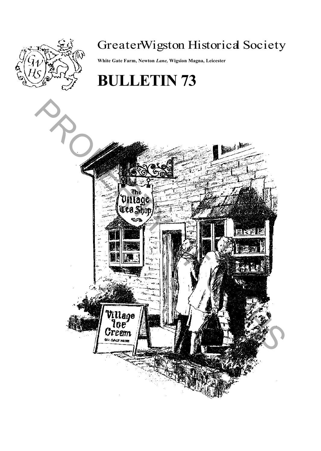

# GreaterWigston Historical Society

**White Gate Farm, Newton** *Lane,* **Wigsion Magna, Leicester**

# **BULLETIN 73**

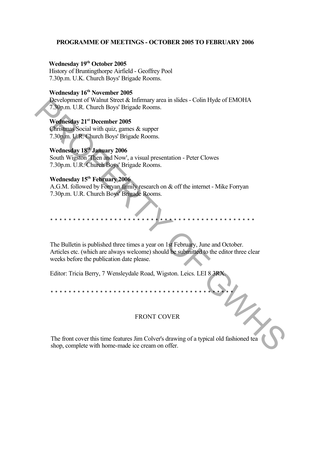#### **PROGRAMME OF MEETINGS - OCTOBER 2005 TO FEBRUARY 2006**

# **Wednesday 19th October 2005**

History of Bruntingthorpe Airfield - Geoffrey Pool 7.30p.m. U.K. Church Boys' Brigade Rooms.

## **Wednesday 16th November 2005**

Development of Walnut Street & Infirmary area in slides - Colin Hyde of EMOHA 7.30p.m. U.R. Church Boys' Brigade Rooms.

# **Wednesday 21st December 2005**

Christmas Social with quiz, games & supper 7.30p.m. U.R. Church Boys' Brigade Rooms.

# **Wednesday 18th January 2006**

South Wigston 'Then and Now', a visual presentation - Peter Clowes 7.30p.m. U.R. Church Boys' Brigade Rooms.

# **Wednesday 15th February 2006**

A.G.M. followed by Forryan family research on & off the internet - Mike Forryan 7.30p.m. U.R. Church Boys' Brigade Rooms.

The Bulletin is published three times a year on 1st February, June and October. Articles etc. (which are always welcome) should be submitted to the editor three clear weeks before the publication date please. Development of Walnut Street & Internary area in slates - Coin Hyde of EMOHA<br>
T30p.m. U.R. Church Boys' Brigade Rooms.<br> **Wednesday 12<sup>r</sup>** December 2005<br>
Christmas Social with quiz, games & supper<br>
7.30p.m. U.R. Church Boys

\* \* \* \* \* \* \* \* \* \* \* \* \* \* \* \* \* \* \* \* \* \* \* \* \* \* \* \* \* \* \* \* \* \* \* \* \* \* \* \* \* \* \* \* \*

Editor: Tricia Berry, 7 Wensleydale Road, Wigston. Leics. LEI 8 3RX.

\* \* \* \* \* \* \* \* \* \* \* \* \* \* \* \* \* \* \* \* \* \* \* \* \* \* \* \* \* \* \* \* \* \* \* \* \* \* \* \* \*

#### FRONT COVER

The front cover this time features Jim Colver's drawing of a typical old fashioned tea shop, complete with home-made ice cream on offer.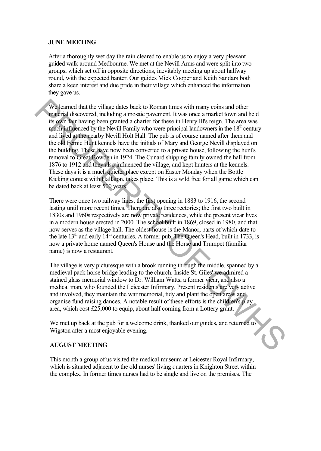#### **JUNE MEETING**

After a thoroughly wet day the rain cleared to enable us to enjoy a very pleasant guided walk around Medbourne. We met at the Nevill Arms and were split into two groups, which set off in opposite directions, inevitably meeting up about halfway round, with the expected banter. Our guides Mick Cooper and Keith Sandars both share a keen interest and due pride in their village which enhanced the information they gave us.

We learned that the village dates back to Roman times with many coins and other material discovered, including a mosaic pavement. It was once a market town and held its own fair having been granted a charter for these in Henry Ill's reign. The area was much influenced by the Nevill Family who were principal landowners in the  $18<sup>th</sup>$  century and lived at the nearby Nevill Holt Hall. The pub is of course named after them and the old Fernie Hunt kennels have the initials of Mary and George Nevill displayed on the building. These have now been converted to a private house, following the hunt's removal to Great Bowden in 1924. The Cunard shipping family owned the hall from 1876 to 1912 and they also influenced the village, and kept hunters at the kennels. These days it is a much quieter place except on Easter Monday when the Bottle Kicking contest with Hallaton, takes place. This is a wild free for all game which can be dated back at least 500 years. We learned that the village dates hack to Roman times with many coins and other<br>
material discovered, including a mossic pavenent. It was once a match two man held<br>
its own hair having been granned a charter for these in

There were once two railway lines, the first opening in 1883 to 1916, the second lasting until more recent times. There are also three rectories; the first two built in 1830s and 1960s respectively are now private residences, while the present vicar lives in a modern house erected in 2000. The school built in 1869, closed in 1980, and that now serves as the village hall. The oldest house is the Manor, parts of which date to the late  $13<sup>th</sup>$  and early  $14<sup>th</sup>$  centuries. A former pub, The Queen's Head, built in 1733, is now a private home named Queen's House and the Horse and Trumpet (familiar name) is now a restaurant.

The village is very picturesque with a brook running through the middle, spanned by a medieval pack horse bridge leading to the church. Inside St. Giles' we admired a stained glass memorial window to Dr. William Watts, a former vicar, and also a medical man, who founded the Leicester Infirmary. Present residents are very active and involved, they maintain the war memorial, tidy and plant the open areas and organise fund raising dances. A notable result of these efforts is the children's play area, which cost Ä25,000 to equip, about half coming from a Lottery grant.

We met up back at the pub for a welcome drink, thanked our guides, and returned to Wigston after a most enjoyable evening.

#### **AUGUST MEETING**

This month a group of us visited the medical museum at Leicester Royal Infirmary, which is situated adjacent to the old nurses' living quarters in Knighton Street within the complex. In former times nurses had to be single and live on the premises. The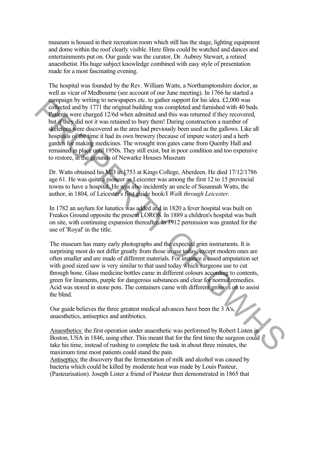museum is housed in their recreation room which still has the stage, lighting equipment and dome within the roof clearly visible. Here films could be watched and dances and entertainments put on. Our guide was the curator, Dr. Aubrey Stewart, a retired anaesthetist. His huge subject knowledge combined with easy style of presentation made for a most fascinating evening.

The hospital was founded by the Rev. William Watts, a Northamptonshire doctor, as well as vicar of Medbourne (see account of our June meeting). In 1766 he started a campaign by writing to newspapers etc. to gather support for his idea. Ä2,000 was collected and by 1771 the original building was completed and furnished with 40 beds. Patients were charged 12/6d when admitted and this was returned if they recovered, but if they did not it was retained to bury them! During construction a number of skeletons were discovered as the area had previously been used as the gallows. Like all hospitals of the time it had its own brewery (because of impure water) and a herb garden for making medicines. The wrought iron gates came from Quenby Hall and remained in place until 1950s. They still exist, but in poor condition and too expensive to restore, in the grounds of Newarke Houses Museum any<br>any we vertage to rewarp the constrained building was completed and finitished with 40 beds.<br>
Parities were charged 12/6d when admitted and this was retunned if they recovered.<br>
but d'they did not it was retained to b

Dr. Watts obtained his MD in 1753 at Kings College, Aberdeen. He died 17/12/1786 age 61. He was quite a pioneer as Leicester was among the first 12 to 15 provincial towns to have a hospital. He was also incidently an uncle of Susannah Watts, the author, in 1804, of Leicester's first guide book/I *Walk through Leicester.*

In 1782 an asylum for lunatics was added and in 1820 a fever hospital was built on Freakes Ground opposite the present LOROS. In 1889 a children's hospital was built on site, with continuing expansion thereafter. In 1912 permission was granted for the use of 'Royal' in the title.

The museum has many early photographs and the expected grim instruments. It is surprising most do not differ greatly from those in use today, except modern ones are often smaller and are made of different materials. For instance a cased amputation set with good sized saw is very similar to that used today which surgeons use to cut through bone. Glass medicine bottles came in different colours according to contents, green for linaments, purple for dangerous substances and clear for normal remedies. Acid was stored in stone pots. The containers came with different grooves on to assist the blind.

Our guide believes the three greatest medical advances have been the  $3\overline{A}$ 's, anaesthetics, antiseptics and antibiotics.

Anaesthetics: the first operation under anaesthetic was performed by Robert Listen in Boston, USA in 1846, using ether. This meant that for the first time the surgeon could take his time, instead of rushing to complete the task in about three minutes, the maximum time most patients could stand the pain.

Antiseptics: the discovery that the fermentation of milk and alcohol was caused by bacteria which could be killed by moderate heat was made by Louis Pasteur, (Pasteurisation). Joseph Lister a friend of Pasteur then demonstrated in 1865 that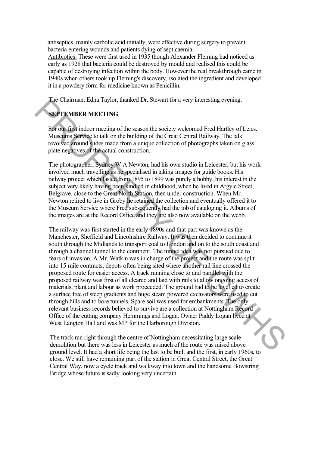antiseptics, mainly carbolic acid initially, were effective during surgery to prevent bacteria entering wounds and patients dying of septicaemia.

Antibiotics: These were first used in 1935 though Alexander Fleming had noticed as early as 1928 that bacteria could be destroyed by mould and realised this could be capable of destroying infection within the body. However the real breakthrough came in 1940s when others took up Fleming's discovery, isolated the ingredient and developed it in a powdery form for medicine known as Penicillin.

The Chairman, Edna Taylor, thanked Dr. Stewart for a very interesting evening.

# **SEPTEMBER MEETING**

For our first indoor meeting of the season the society welcomed Fred Hartley of Leics. Museums Service to talk on the building of the Great Central Railway. The talk revolved around slides made from a unique collection of photographs taken on glass plate negatives of the actual construction.

The photographer, Sydney W A Newton, had his own studio in Leicester, but his work involved much travelling as he specialised in taking images for guide books. His railway project which lasted from 1895 to 1899 was purely a hobby, his interest in the subject very likely having been kindled in childhood, when he lived in Argyle Street, Belgrave, close to the Great North Station, then under construction. When Mr. Newton retired to live in Groby he retained the collection and eventually offered it to the Museum Service where Fred subsequently had the job of cataloging it. Albums of the images are at the Record Office and they are also now available on the webb.

The railway was first started in the early 1890s and that part was known as the Manchester, Sheffield and Lincolnshire Railway. It was then decided to continue it south through the Midlands to transport coal to London and on to the south coast and through a channel tunnel to the continent. The tunnel idea was not pursued due to fears of invasion. A Mr. Watkin was in charge of the project and the route was split into 15 mile contracts, depots often being sited where another rail line crossed the proposed route for easier access. A track running close to and parallel with the proposed railway was first of all cleared and laid with rails to allow ongoing access of materials, plant and labour as work proceeded. The ground had to be levelled to create a surface free of steep gradients and huge steam powered excavators were used to cut through hills and to bore tunnels. Spare soil was used for embankments. The only relevant business records believed to survive are a collection at Nottingham Record Office of the cutting company Hemmings and Logan. Owner Paddy Logan lived at West Langton Hall and was MP for the Harborough Division. The Chairman, Edna 1aylor, manked Dr. Stewart for a very interesting evening.<br> **SEPTEMBER MEETING**<br> **EVALUATE CONSTRANTS AND THE CONSTRANTS AND THE CONSTRANTS AND THE CONSTRANTS SERVING THE REAL CONSTRANTS SERVING THE REVA** 

The track ran right through the centre of Nottingham necessitating large scale demolition but there was less in Leicester as much of the route was raised above ground level. It had a short life being the last to be built and the first, in early 1960s, to close. We still have remaining part of the station in Great Central Street, the Great Central Way, now a cycle track and walkway into town and the handsome Bowstring Bridge whose future is sadly looking very uncertain.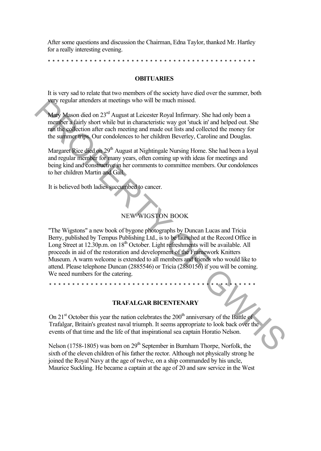After some questions and discussion the Chairman, Edna Taylor, thanked Mr. Hartley for a really interesting evening.

\* \* \* \* \* \* \* \* \* \* \* \* \* \* \* \* \* \* \* \* \* \* \* \* \* \* \* \* \* \* \* \* \* \* \* \* \* \* \* \* \* \* \* \* \*

#### **OBITUARIES**

It is very sad to relate that two members of the society have died over the summer, both very regular attenders at meetings who will be much missed.

Mary Mason died on 23<sup>rd</sup> August at Leicester Royal Infirmary. She had only been a member a fairly short while but in characteristic way got 'stuck in' and helped out. She ran the collection after each meeting and made out lists and collected the money for the summer trips. Our condolences to her children Beverley, Caroline and Douglas.

Margaret Rice died on 29<sup>th</sup> August at Nightingale Nursing Home. She had been a loyal and regular member for many years, often coming up with ideas for meetings and being kind and constructive in her comments to committee members. Our condolences to her children Martin and Gail.

It is believed both ladies succumbed to cancer.

# NEW WIGSTON BOOK

"The Wigstons" a new book of bygone photographs by Duncan Lucas and Tricia Berry, published by Tempus Publishing Ltd., is to be launched at the Record Office in Long Street at 12.30p.m. on 18<sup>th</sup> October. Light refreshments will be available. All proceeds in aid of the restoration and development of the Framework Knitters Museum. A warm welcome is extended to all members and friends who would like to attend. Please telephone Duncan (2885546) or Tricia (2880156) if you will be coming. We need numbers for the catering. **Example 2** and on 23<sup>x4</sup> Angust at Facebook of Mariam Successor Reading the Finance Muslim member a pair  $\mu$  and  $\lambda$ <sup>5</sup> Angust at Facebook Paya Harmony. She had only been a member a hard show while but in characterstic

\* \* \* \* \* \* \* \* \* \* \* \* \* \* \* \* \* \* \* \* \* \* \* \* \* \* \* \* \* \* \* \* \* \* \* \* \* \* \* \* \* \* \* \* \*

#### **TRAFALGAR BICENTENARY**

On  $21<sup>st</sup>$  October this year the nation celebrates the  $200<sup>th</sup>$  anniversary of the Battle of Trafalgar, Britain's greatest naval triumph. It seems appropriate to look back over the events of that time and the life of that inspirational sea captain Horatio Nelson.

Nelson (1758-1805) was born on  $29<sup>th</sup>$  September in Burnham Thorpe, Norfolk, the sixth of the eleven children of his father the rector. Although not physically strong he joined the Royal Navy at the age of twelve, on a ship commanded by his uncle, Maurice Suckling. He became a captain at the age of 20 and saw service in the West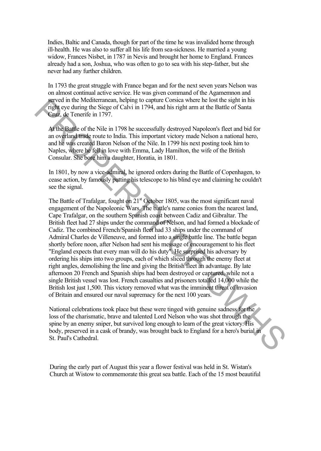Indies, Baltic and Canada, though for part of the time he was invalided home through ill-health. He was also to suffer all his life from sea-sickness. He married a young widow, Frances Nisbet, in 1787 in Nevis and brought her home to England. Frances already had a son, Joshua, who was often to go to sea with his step-father, but she never had any further children.

In 1793 the great struggle with France began and for the next seven years Nelson was on almost continual active service. He was given command of the Agamemnon and served in the Mediterranean, helping to capture Corsica where he lost the sight in his right eye during the Siege of Calvi in 1794, and his right arm at the Battle of Santa Cruz, de Tenerife in 1797.

At the Battle of the Nile in 1798 he successfully destroyed Napoleon's fleet and bid for an overland trade route to India. This important victory made Nelson a national hero, and he was created Baron Nelson of the Nile. In 1799 his next posting took him to Naples, where he fell in love with Emma, Lady Hamilton, the wife of the British Consular. She bore him a daughter, Horatia, in 1801.

In 1801, by now a vice-admiral, he ignored orders during the Battle of Copenhagen, to cease action, by famously putting his telescope to his blind eye and claiming he couldn't see the signal.

The Battle of Trafalgar, fought on  $21<sup>st</sup>$  October 1805, was the most significant naval engagement of the Napoleonic Wars. The battle's name conies from the nearest land, Cape Trafalgar, on the southern Spanish coast between Cadiz and Gibraltar. The British fleet had 27 ships under the command of Nelson, and had formed a blockade of Cadiz. The combined French/Spanish fleet had 33 ships under the command of Admiral Charles de Villeneuve, and formed into a single battle line. The battle began shortly before noon, after Nelson had sent his message of encouragement to his fleet "England expects that every man will do his duty". He surprised his adversary by ordering his ships into two groups, each of which sliced through the enemy fleet at right angles, demolishing the line and giving the British fleet an advantage. By late afternoon 20 French and Spanish ships had been destroyed or captured, while not a single British vessel was lost. French casualties and prisoners totalled 14,000 while the British lost just 1,500. This victory removed what was the imminent threat of invasion of Britain and ensured our naval supremacy for the next 100 years. specified three Motion Theorem and the paper of Calvi in 1794, and his right arm at the Battle of Stata Can explit three lates of Calvi in 1794, and his right arm at the Battle of Stata Can explicit three lates of the Wie

National celebrations took place but these were tinged with genuine sadness for the loss of the charismatic, brave and talented Lord Nelson who was shot through the spine by an enemy sniper, but survived long enough to learn of the great victory. His body, preserved in a cask of brandy, was brought back to England for a hero's burial in St. Paul's Cathedral.

During the early part of August this year a flower festival was held in St. Wistan's Church at Wistow to commemorate this great sea battle. Each of the 15 most beautiful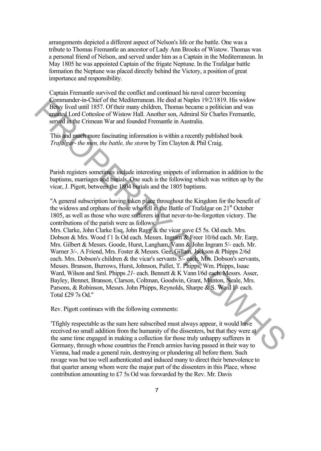arrangements depicted a different aspect of Nelson's life or the battle. One was a tribute to Thomas Fremantle an ancestor of Lady Ann Brooks of Wistow. Thomas was a personal friend of Nelson, and served under him as a Captain in the Mediterranean. In May 1805 he was appointed Captain of the frigate Neptune. In the Trafalgar battle formation the Neptune was placed directly behind the Victory, a position of great importance and responsibility.

Captain Fremantle survived the conflict and continued his naval career becoming Commander-in-Chief of the Mediterranean. He died at Naples 19/2/1819. His widow Betsy lived until 1857. Of their many children, Thomas became a politician and was created Lord Cottesloe of Wistow Hall. Another son, Admiral Sir Charles Fremantle, served in the Crimean War and founded Fremantle in Australia.

This and much more fascinating information is within a recently published book *Trafalgar- the men, the battle, the storm* by Tim Clayton & Phil Craig.

Parish registers sometimes include interesting snippets of information in addition to the baptisms, marriages and burials. One such is the following which was written up by the vicar, J. Pigott, between the 1804 burials and the 1805 baptisms.

"A general subscription having taken place throughout the Kingdom for the benefit of the widows and orphans of those who fell in the Battle of Trafalgar on 21<sup>st</sup> October 1805, as well as those who were sufferers in that never-to-be-forgotten victory. The contributions of the parish were as follows:

Mrs. Clarke, John Clarke Esq, John Ragg  $&$  the vicar gave £5 5s. Od each. Mrs. Dobson & Mrs. Wood f 1 Is Od each. Messrs. Ingram & Freer 10/6d each. Mr. Earp, Mrs. Gilbert & Messrs. Goode, Hurst, Langham, Vann & John Ingram 5/- each. Mr. Warner 3/-. A Friend, Mrs. Foster & Messrs. Gee, Gillam, Jackson & Phipps 2/6d each. Mrs. Dobson's children & the vicar's servants 5/- each. Mrs. Dobson's servants, Messrs. Branson, Burrows, Hurst, Johnson, Pallet, T. Phipps, Wm. Phipps, Isaac Ward, Wilson and Sml. Phipps *21-* each. Bennett & K Vann l/6d each. Messrs. Asser, Bayley, Bennet, Branson, Clarson, Coltman, Goodwin, Grant, Munton, Neale, Mrs. Parsons, & Robinson, Messrs. John Phipps, Reynolds, Sharpe & S. Ward I/- each. Total £29 7s Od." Commanter-me-Charlest orientations and He and states and Napks 1992/1819. Has working a politician and was reached to tract of the Nuclear of Wastow Hall Another son, Admind Str. Charles are selected to the second of the C

Rev. Pigott continues with the following comments:

'Tfighly respectable as the sum here subscribed must always appear, it would have received no small addition from the humanity of the dissenters, but that they were at the same time engaged in making a collection for those truly unhappy sufferers in Germany, through whose countries the French armies having passed in their way to Vienna, had made a general ruin, destroying or plundering all before them. Such ravage was but too well authenticated and induced many to direct their benevolence to that quarter among whom were the major part of the dissenters in this Place, whose contribution amounting to  $£7$  5s Od was forwarded by the Rev. Mr. Davis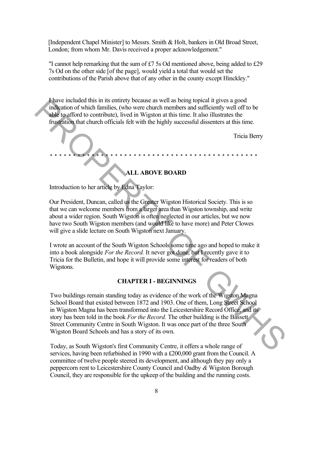[Independent Chapel Minister] to Messrs. Smith & Holt, bankers in Old Broad Street, London; from whom Mr. Davis received a proper acknowledgement."

"I cannot help remarking that the sum of  $£7$  5s Od mentioned above, being added to  $£29$ 7s Od on the other side [of the page], would yield a total that would set the contributions of the Parish above that of any other in the county except Hinckley."

I have included this in its entirety because as well as being topical it gives a good indication of which families, (who were church members and sufficiently well off to be able to afford to contribute), lived in Wigston at this time. It also illustrates the frustration that church officials felt with the highly successful dissenters at this time.

Tricia Berry *\* \* \* \* \* \* \* \* \* \* \* \* \* \* \* \* \* \* \* \* \* \* \* \* \* \* \* \* \* \* \* \* \* \* \* \* \* \* \* \* \* \* \* \* \**

**ALL ABOVE BOARD**

Introduction to her article by Edna Taylor:

Our President, Duncan, called us the Greater Wigston Historical Society. This is so that we can welcome members from a larger area than Wigston township, and write about a wider region. South Wigston is often neglected in our articles, but we now have two South Wigston members (and would like to have more) and Peter Clowes will give a slide lecture on South Wigston next January.

I wrote an account of the South Wigston Schools some time ago and hoped to make it into a book alongside *For the Record.* It never got done, but I recently gave it to Tricia for the Bulletin, and hope it will provide some interest for readers of both Wigstons.

#### **CHAPTER I - BEGINNINGS**

Two buildings remain standing today as evidence of the work of the Wigston Magna School Board that existed between 1872 and 1903. One of them, Long Street School in Wigston Magna has been transformed into the Leicestershire Record Office, and its story has been told in the book *For the Record.* The other building is the Bassett Street Community Centre in South Wigston. It was once part of the three South Wigston Board Schools and has a story of its own. Fluxer included this in its cnitrely because as well as being topical if gives a good<br>indication of which firmlies, (who were church members and sufficiently well off to be<br>able to a force for a more than the signal of th

Today, as South Wigston's first Community Centre, it offers a whole range of services, having been refurbished in 1990 with a £200,000 grant from the Council. A committee of twelve people steered its development, and although they pay only a peppercorn rent to Leicestershire County Council and Oadby *&* Wigston Borough Council, they are responsible for the upkeep of the building and the running costs.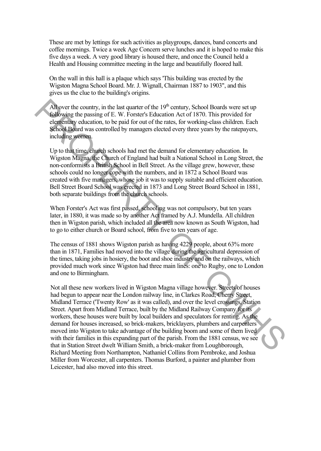These are met by lettings for such activities as playgroups, dances, band concerts and coffee mornings. Twice a week Age Concern serve lunches and it is hoped to make this five days a week. A very good library is housed there, and once the Council held a Health and Housing committee meeting in the large and beautifully floored hall.

On the wall in this hall is a plaque which says 'This building was erected by the Wigston Magna School Board. Mr. J. Wignall, Chairman 1887 to 1903", and this gives us the clue to the building's origins.

All over the country, in the last quarter of the  $19<sup>th</sup>$  century. School Boards were set up following the passing of E. W. Forster's Education Act of 1870. This provided for elementary education, to be paid for out of the rates, for working-class children. Each School Board was controlled by managers elected every three years by the ratepayers, including women.

Up to that time, church schools had met the demand for elementary education. In Wigston Magna, the Church of England had built a National School in Long Street, the non-conformists a British School in Bell Street. As the village grew, however, these schools could no longer cope with the numbers, and in 1872 a School Board was created with five managers, whose job it was to supply suitable and efficient education. Bell Street Board School was erected in 1873 and Long Street Board School in 1881, both separate buildings from the church schools.

When Forster's Act was first passed, schooling was not compulsory, but ten years later, in 1880, it was made so by another Act framed by A.J. Mundella. All children then in Wigston parish, which included all the area now known as South Wigston, had to go to either church or Board school, from five to ten years of age.

The census of 1881 shows Wigston parish as having 4229 people, about 63% more than in 1871, Families had moved into the village during the agricultural depression of the times, taking jobs in hosiery, the boot and shoe industry and on the railways, which provided much work since Wigston had three main lines: one to Rugby, one to London and one to Birmingham.

Not all these new workers lived in Wigston Magna village however. Streets of houses had begun to appear near the London railway line, in Clarkes Road, Cherry Street, Midland Terrace ('Twenty Row' as it was called), and over the level crossings, Station Street. Apart from Midland Terrace, built by the Midland Railway Company for its workers, these houses were built by local builders and speculators for renting. As the demand for houses increased, so brick-makers, bricklayers, plumbers and carpenters moved into Wigston to take advantage of the building boom and some of them lived with their families in this expanding part of the parish. From the 1881 census, we see that in Station Street dwelt William Smith, a brick-maker from Loughborough, Richard Meeting from Northampton, Nathaniel Collins from Pembroke, and Joshua Miller from Worcester, all carpenters. Thomas Burford, a painter and plumber from Leicester, had also moved into this street. All over the country, in the last quarter of the 19<sup>th</sup> eentrary, School Boards were set up<br>
following the passing of E. W. Forset's Education Act of 1870. This provided for<br>
elementary education, to be paid for out of th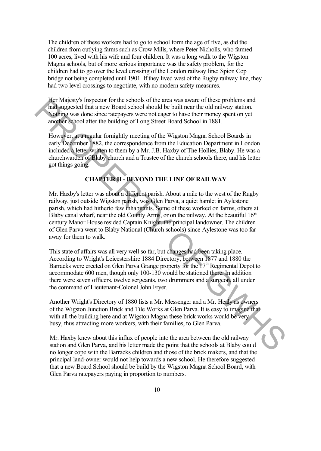The children of these workers had to go to school form the age of five, as did the children from outlying farms such as Crow Mills, where Peter Nicholls, who farmed 100 acres, lived with his wife and four children. It was a long walk to the Wigston Magna schools, but of more serious importance was the safety problem, for the children had to go over the level crossing of the London railway line: Spion Cop bridge not being completed until 1901. If they lived west of the Rugby railway line, they had two level crossings to negotiate, with no modern safety measures.

Her Majesty's Inspector for the schools of the area was aware of these problems and had suggested that a new Board school should be built near the old railway station. Nothing was done since ratepayers were not eager to have their money spent on yet another school after the building of Long Street Board School in 1881.

However, at a regular fornightly meeting of the Wigston Magna School Boards in early December 1882, the correspondence from the Education Department in London included a letter written to them by a Mr. J.B. Haxby of The Hollies, Blaby. He was a churchwarden of Blaby church and a Trustee of the church schools there, and his letter got things going.

## **CHAPTER H - BEYOND THE LINE OF RAILWAY**

Mr. Haxby's letter was about a different parish. About a mile to the west of the Rugby railway, just outside Wigston parish, was Glen Parva, a quiet hamlet in Aylestone parish, which had hitherto few inhabitants. Some of these worked on farms, others at Blaby canal wharf, near the old County Arms, or on the railway. At the beautiful  $16*$ century Manor House resided Captain Knight, the principal landowner. The children of Glen Parva went to Blaby National (Church schools) since Aylestone was too far away for them to walk. **Example 10** Magnety inspective the schools of the eart was severe of these problems and denoted that are blood school should be built near the old railways station.<br>Noting was dones airce retepayes were not eager to have

This state of affairs was all very well so far, but changes had been taking place. According to Wright's Leicestershire 1884 Directory, between 1877 and 1880 the Barracks were erected on Glen Parva Grange property for the 17<sup>th</sup> Regimental Depot to accommodate 600 men, though only 100-130 would be stationed there. In addition there were seven officers, twelve sergeants, two drummers and a surgeon, all under the command of Lieutenant-Colonel John Fryer.

Another Wright's Directory of 1880 lists a Mr. Messenger and a Mr. Healy as owners of the Wigston Junction Brick and Tile Works at Glen Parva. It is easy to imagine that with all the building here and at Wigston Magna these brick works would be very busy, thus attracting more workers, with their families, to Glen Parva.

Mr. Haxby knew about this influx of people into the area between the old railway station and Glen Parva, and his letter made the point that the schools at Blaby could no longer cope with the Barracks children and those of the brick makers, and that the principal land-owner would not help towards a new school. He therefore suggested that a new Board School should be build by the Wigston Magna School Board, with Glen Parva ratepayers paying in proportion to numbers.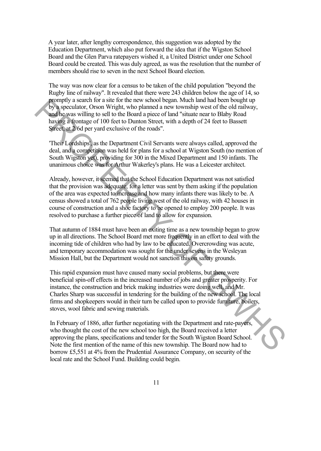A year later, after lengthy correspondence, this suggestion was adopted by the Education Department, which also put forward the idea that if the Wigston School Board and the Glen Parva ratepayers wished it, a United District under one School Board could be created. This was duly agreed, as was the resolution that the number of members should rise to seven in the next School Board election.

The way was now clear for a census to be taken of the child population "beyond the Rugby line of railway". It revealed that there were 243 children below the age of 14, so promptly a search for a site for the new school began. Much land had been bought up by a speculator, Orson Wright, who planned a new township west of the old railway, and he was willing to sell to the Board a piece of land "situate near to Blaby Road having a frontage of 100 feet to Dunton Street, with a depth of 24 feet to Bassett Street, at 2/6d per yard exclusive of the roads".

'Their Lordships', as the Department Civil Servants were always called, approved the deal, and a competition was held for plans for a school at Wigston South (no mention of South Wigston yet), providing for 300 in the Mixed Department and 150 infants. The unanimous choice was for Arthur Wakerley's plans. He was a Leicester architect.

Already, however, it seemed that the School Education Department was not satisfied that the provision was adequate, for a letter was sent by them asking if the population of the area was expected to increase and how many infants there was likely to be. A census showed a total of 762 people living west of the old railway, with 42 houses in course of construction and a shoe factory to be opened to employ 200 people. It was resolved to purchase a further piece of land to allow for expansion.

That autumn of 1884 must have been an exiting time as a new township began to grow up in all directions. The School Board met more frequently in an effort to deal with the incoming tide of children who had by law to be educated. Overcrowding was acute, and temporary accommodation was sought for the under sevens in the Wesleyan Mission Hall, but the Department would not sanction this on safety grounds.

This rapid expansion must have caused many social problems, but there were beneficial spin-off effects in the increased number of jobs and greater prosperity. For instance, the construction and brick making industries were doing well, and Mr. Charles Sharp was successful in tendering for the building of the new school. The local firms and shopkeepers would in their turn be called upon to provide furniture, boilers, stoves, wool fabric and sewing materials. promptly as such to react to the means the contool began. Much land to even both that we have the solid by a speculator, Orson Wright, who planed a new township west of the old railway, and we say willing to sell to the Bo

In February of 1886, after further negotiating with the Department and rate-payers, who thought the cost of the new school too high, the Board received a letter approving the plans, specifications and tender for the South Wigston Board School. Note the first mention of the name of this new township. The Board now had to borrow Ä5,551 at 4% from the Prudential Assurance Company, on security of the local rate and the School Fund. Building could begin.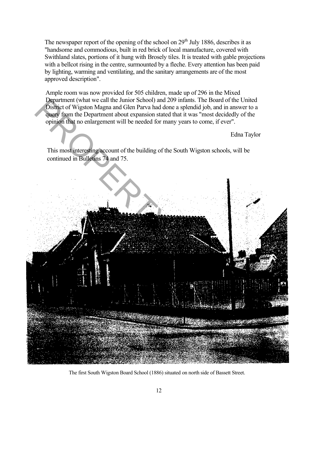The newspaper report of the opening of the school on  $29<sup>th</sup>$  July 1886, describes it as "handsome and commodious, built in red brick of local manufacture, covered with Swithland slates, portions of it hung with Brosely tiles. It is treated with gable projections with a bellcot rising in the centre, surmounted by a fleche. Every attention has been paid by lighting, warming and ventilating, and the sanitary arrangements are of the most approved description".

Ample room was now provided for 505 children, made up of 296 in the Mixed Department (what we call the Junior School) and 209 infants. The Board of the United District of Wigston Magna and Glen Parva had done a splendid job, and in answer to a query from the Department about expansion stated that it was "most decidedly of the opinion that no enlargement will be needed for many years to come, if ever".

Edna Taylor

This most interesting account of the building of the South Wigston schools, will be continued in Bulletins 74 and 75.



The first South Wigston Board School (1886) situated on north side of Bassett Street.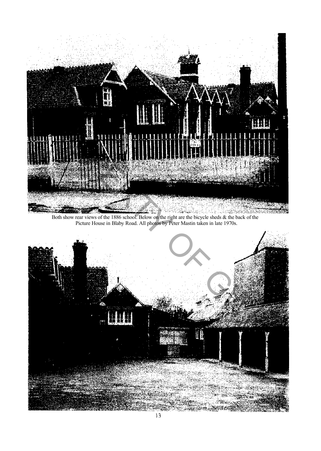

Both show rear views of the 1886 school. Below on the right are the bicycle sheds & the back of the Picture House in Blaby Road. All photos by Peter Mastin taken in late 1970s.

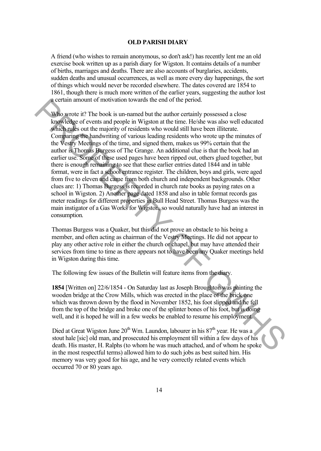#### **OLD PARISH DIARY**

A friend (who wishes to remain anonymous, so don't ask!) has recently lent me an old exercise book written up as a parish diary for Wigston. It contains details of a number of births, marriages and deaths. There are also accounts of burglaries, accidents, sudden deaths and unusual occurrences, as well as more every day happenings, the sort of things which would never be recorded elsewhere. The dates covered are 1854 to 1861, though there is much more written of the earlier years, suggesting the author lost a certain amount of motivation towards the end of the period.

Who wrote it? The book is un-named but the author certainly possessed a close knowledge of events and people in Wigston at the time. He/she was also well educated which rules out the majority of residents who would still have been illiterate. Comparing the handwriting of various leading residents who wrote up the minutes of the Vestry Meetings of the time, and signed them, makes us 99% certain that the author is Thomas Burgess of The Grange. An additional clue is that the book had an earlier use. Some of these used pages have been ripped out, others glued together, but there is enough remaining to see that these earlier entries dated 1844 and in table format, were in fact a school entrance register. The children, boys and girls, were aged from five to eleven and came from both church and independent backgrounds. Other clues are: 1) Thomas Burgess is recorded in church rate books as paying rates on a school in Wigston. 2) Another page dated 1858 and also in table format records gas meter readings for different properties in Bull Head Street. Thomas Burgess was the main instigator of a Gas Works for Wigston, so would naturally have had an interest in consumption. a certain amount of motivation towards the end of the period.<br>Who wrote it? The book is un-named but the suthor occitative possessed a close<br>knowledge of events and people in Wigston at the time. He/she was also well educ

Thomas Burgess was a Quaker, but this did not prove an obstacle to his being a member, and often acting as chairman of the Vestry Meetings. He did not appear to play any other active role in either the church or chapel, but may have attended their services from time to time as there appears not to have been any Quaker meetings held in Wigston during this time.

The following few issues of the Bulletin will feature items from the diary.

**1854** [Written on] 22/6/1854 - On Saturday last as Joseph Broughton was painting the wooden bridge at the Crow Mills, which was erected in the place of the brick one which was thrown down by the flood in November 1852, his foot slipped and he fell from the top of the bridge and broke one of the splinter bones of his foot, but is doing well, and it is hoped he will in a few weeks be enabled to resume his employment.

Died at Great Wigston June  $20^{th}$  Wm. Laundon, labourer in his  $87^{th}$  year. He was a stout hale [sic] old man, and prosecuted his employment till within a few days of his death. His master, H. Ralphs (to whom he was much attached, and of whom he spoke in the most respectful terms) allowed him to do such jobs as best suited him. His memory was very good for his age, and he very correctly related events which occurred 70 or 80 years ago.